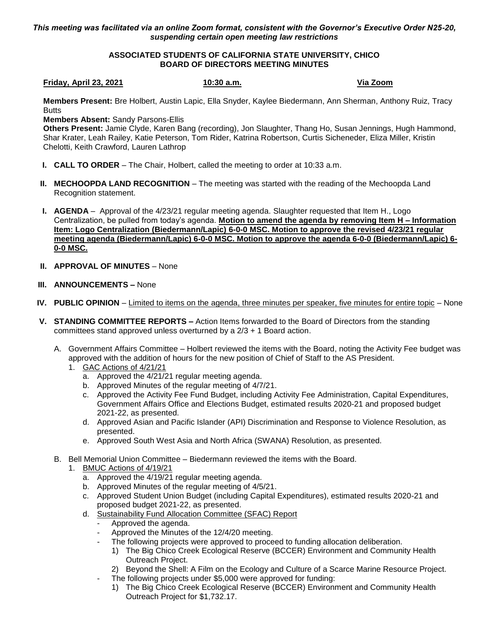*This meeting was facilitated via an online Zoom format, consistent with the Governor's Executive Order N25-20, suspending certain open meeting law restrictions*

## **ASSOCIATED STUDENTS OF CALIFORNIA STATE UNIVERSITY, CHICO BOARD OF DIRECTORS MEETING MINUTES**

## **Friday, April 23, 2021 10:30 a.m. Via Zoom**

**Members Present:** Bre Holbert, Austin Lapic, Ella Snyder, Kaylee Biedermann, Ann Sherman, Anthony Ruiz, Tracy **Butts** 

**Members Absent:** Sandy Parsons-Ellis

**Others Present:** Jamie Clyde, Karen Bang (recording), Jon Slaughter, Thang Ho, Susan Jennings, Hugh Hammond, Shar Krater, Leah Railey, Katie Peterson, Tom Rider, Katrina Robertson, Curtis Sicheneder, Eliza Miller, Kristin Chelotti, Keith Crawford, Lauren Lathrop

- **I. CALL TO ORDER** The Chair, Holbert, called the meeting to order at 10:33 a.m.
- **II. MECHOOPDA LAND RECOGNITION** The meeting was started with the reading of the Mechoopda Land Recognition statement.
- **I. AGENDA** Approval of the 4/23/21 regular meeting agenda. Slaughter requested that Item H., Logo Centralization, be pulled from today's agenda. **Motion to amend the agenda by removing Item H – Information Item: Logo Centralization (Biedermann/Lapic) 6-0-0 MSC. Motion to approve the revised 4/23/21 regular meeting agenda (Biedermann/Lapic) 6-0-0 MSC. Motion to approve the agenda 6-0-0 (Biedermann/Lapic) 6- 0-0 MSC.**
- **II. APPROVAL OF MINUTES** None
- **III. ANNOUNCEMENTS –** None
- **IV. PUBLIC OPINION** Limited to items on the agenda, three minutes per speaker, five minutes for entire topic None
- **V. STANDING COMMITTEE REPORTS –** Action Items forwarded to the Board of Directors from the standing committees stand approved unless overturned by a  $2/3 + 1$  Board action.
	- A. Government Affairs Committee Holbert reviewed the items with the Board, noting the Activity Fee budget was approved with the addition of hours for the new position of Chief of Staff to the AS President.
		- 1. GAC Actions of 4/21/21
			- a. Approved the 4/21/21 regular meeting agenda.
			- b. Approved Minutes of the regular meeting of 4/7/21.
			- c. Approved the Activity Fee Fund Budget, including Activity Fee Administration, Capital Expenditures, Government Affairs Office and Elections Budget, estimated results 2020-21 and proposed budget 2021-22, as presented.
			- d. Approved Asian and Pacific Islander (API) Discrimination and Response to Violence Resolution, as presented.
			- e. Approved South West Asia and North Africa (SWANA) Resolution, as presented.
	- B. Bell Memorial Union Committee Biedermann reviewed the items with the Board.
		- 1. BMUC Actions of 4/19/21
			- a. Approved the 4/19/21 regular meeting agenda.
			- b. Approved Minutes of the regular meeting of 4/5/21.
			- c. Approved Student Union Budget (including Capital Expenditures), estimated results 2020-21 and proposed budget 2021-22, as presented.
			- d. Sustainability Fund Allocation Committee (SFAC) Report
				- Approved the agenda.
				- Approved the Minutes of the 12/4/20 meeting.
				- The following projects were approved to proceed to funding allocation deliberation.
					- 1) The Big Chico Creek Ecological Reserve (BCCER) Environment and Community Health Outreach Project.
					- 2) Beyond the Shell: A Film on the Ecology and Culture of a Scarce Marine Resource Project.
					- The following projects under \$5,000 were approved for funding:
					- 1) The Big Chico Creek Ecological Reserve (BCCER) Environment and Community Health Outreach Project for \$1,732.17.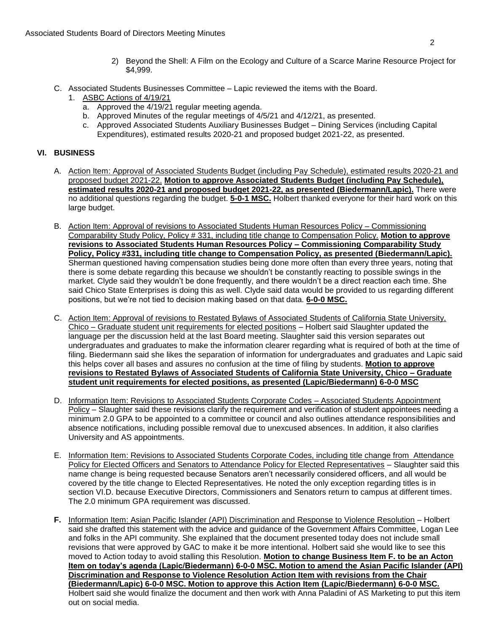- 2) Beyond the Shell: A Film on the Ecology and Culture of a Scarce Marine Resource Project for \$4,999.
- C. Associated Students Businesses Committee Lapic reviewed the items with the Board.
	- 1. ASBC Actions of 4/19/21
		- a. Approved the 4/19/21 regular meeting agenda.
		- b. Approved Minutes of the regular meetings of 4/5/21 and 4/12/21, as presented.
		- c. Approved Associated Students Auxiliary Businesses Budget Dining Services (including Capital Expenditures), estimated results 2020-21 and proposed budget 2021-22, as presented.

## **VI. BUSINESS**

- A. Action Item: Approval of Associated Students Budget (including Pay Schedule), estimated results 2020-21 and proposed budget 2021-22. **Motion to approve Associated Students Budget (including Pay Schedule), estimated results 2020-21 and proposed budget 2021-22, as presented (Biedermann/Lapic).** There were no additional questions regarding the budget. **5-0-1 MSC.** Holbert thanked everyone for their hard work on this large budget.
- B. Action Item: Approval of revisions to Associated Students Human Resources Policy Commissioning Comparability Study Policy, Policy # 331, including title change to Compensation Policy. **Motion to approve revisions to Associated Students Human Resources Policy – Commissioning Comparability Study Policy, Policy #331, including title change to Compensation Policy, as presented (Biedermann/Lapic).** Sherman questioned having compensation studies being done more often than every three years, noting that there is some debate regarding this because we shouldn't be constantly reacting to possible swings in the market. Clyde said they wouldn't be done frequently, and there wouldn't be a direct reaction each time. She said Chico State Enterprises is doing this as well. Clyde said data would be provided to us regarding different positions, but we're not tied to decision making based on that data. **6-0-0 MSC.**
- C. Action Item: Approval of revisions to Restated Bylaws of Associated Students of California State University, Chico – Graduate student unit requirements for elected positions – Holbert said Slaughter updated the language per the discussion held at the last Board meeting. Slaughter said this version separates out undergraduates and graduates to make the information clearer regarding what is required of both at the time of filing. Biedermann said she likes the separation of information for undergraduates and graduates and Lapic said this helps cover all bases and assures no confusion at the time of filing by students. **Motion to approve revisions to Restated Bylaws of Associated Students of California State University, Chico – Graduate student unit requirements for elected positions, as presented (Lapic/Biedermann) 6-0-0 MSC**
- D. Information Item: Revisions to Associated Students Corporate Codes Associated Students Appointment Policy – Slaughter said these revisions clarify the requirement and verification of student appointees needing a minimum 2.0 GPA to be appointed to a committee or council and also outlines attendance responsibilities and absence notifications, including possible removal due to unexcused absences. In addition, it also clarifies University and AS appointments.
- E. Information Item: Revisions to Associated Students Corporate Codes, including title change from Attendance Policy for Elected Officers and Senators to Attendance Policy for Elected Representatives – Slaughter said this name change is being requested because Senators aren't necessarily considered officers, and all would be covered by the title change to Elected Representatives. He noted the only exception regarding titles is in section VI.D. because Executive Directors, Commissioners and Senators return to campus at different times. The 2.0 minimum GPA requirement was discussed.
- **F.** Information Item: Asian Pacific Islander (API) Discrimination and Response to Violence Resolution Holbert said she drafted this statement with the advice and guidance of the Government Affairs Committee, Logan Lee and folks in the API community. She explained that the document presented today does not include small revisions that were approved by GAC to make it be more intentional. Holbert said she would like to see this moved to Action today to avoid stalling this Resolution. **Motion to change Business Item F. to be an Acton Item on today's agenda (Lapic/Biedermann) 6-0-0 MSC. Motion to amend the Asian Pacific Islander (API) Discrimination and Response to Violence Resolution Action Item with revisions from the Chair (Biedermann/Lapic) 6-0-0 MSC. Motion to approve this Action Item (Lapic/Biedermann) 6-0-0 MSC.** Holbert said she would finalize the document and then work with Anna Paladini of AS Marketing to put this item out on social media.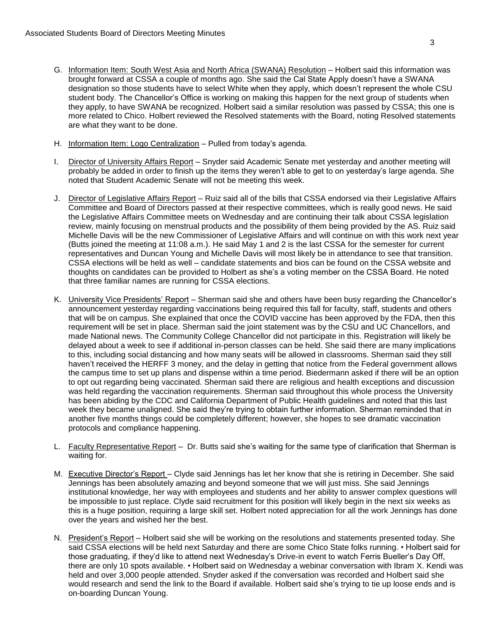- G. Information Item: South West Asia and North Africa (SWANA) Resolution Holbert said this information was brought forward at CSSA a couple of months ago. She said the Cal State Apply doesn't have a SWANA designation so those students have to select White when they apply, which doesn't represent the whole CSU student body. The Chancellor's Office is working on making this happen for the next group of students when they apply, to have SWANA be recognized. Holbert said a similar resolution was passed by CSSA; this one is more related to Chico. Holbert reviewed the Resolved statements with the Board, noting Resolved statements are what they want to be done.
- H. Information Item: Logo Centralization Pulled from today's agenda.
- I. Director of University Affairs Report Snyder said Academic Senate met yesterday and another meeting will probably be added in order to finish up the items they weren't able to get to on yesterday's large agenda. She noted that Student Academic Senate will not be meeting this week.
- J. Director of Legislative Affairs Report Ruiz said all of the bills that CSSA endorsed via their Legislative Affairs Committee and Board of Directors passed at their respective committees, which is really good news. He said the Legislative Affairs Committee meets on Wednesday and are continuing their talk about CSSA legislation review, mainly focusing on menstrual products and the possibility of them being provided by the AS. Ruiz said Michelle Davis will be the new Commissioner of Legislative Affairs and will continue on with this work next year (Butts joined the meeting at 11:08 a.m.). He said May 1 and 2 is the last CSSA for the semester for current representatives and Duncan Young and Michelle Davis will most likely be in attendance to see that transition. CSSA elections will be held as well – candidate statements and bios can be found on the CSSA website and thoughts on candidates can be provided to Holbert as she's a voting member on the CSSA Board. He noted that three familiar names are running for CSSA elections.
- K. University Vice Presidents' Report Sherman said she and others have been busy regarding the Chancellor's announcement yesterday regarding vaccinations being required this fall for faculty, staff, students and others that will be on campus. She explained that once the COVID vaccine has been approved by the FDA, then this requirement will be set in place. Sherman said the joint statement was by the CSU and UC Chancellors, and made National news. The Community College Chancellor did not participate in this. Registration will likely be delayed about a week to see if additional in-person classes can be held. She said there are many implications to this, including social distancing and how many seats will be allowed in classrooms. Sherman said they still haven't received the HERFF 3 money, and the delay in getting that notice from the Federal government allows the campus time to set up plans and dispense within a time period. Biedermann asked if there will be an option to opt out regarding being vaccinated. Sherman said there are religious and health exceptions and discussion was held regarding the vaccination requirements. Sherman said throughout this whole process the University has been abiding by the CDC and California Department of Public Health guidelines and noted that this last week they became unaligned. She said they're trying to obtain further information. Sherman reminded that in another five months things could be completely different; however, she hopes to see dramatic vaccination protocols and compliance happening.
- L. Faculty Representative Report Dr. Butts said she's waiting for the same type of clarification that Sherman is waiting for.
- M. Executive Director's Report Clyde said Jennings has let her know that she is retiring in December. She said Jennings has been absolutely amazing and beyond someone that we will just miss. She said Jennings institutional knowledge, her way with employees and students and her ability to answer complex questions will be impossible to just replace. Clyde said recruitment for this position will likely begin in the next six weeks as this is a huge position, requiring a large skill set. Holbert noted appreciation for all the work Jennings has done over the years and wished her the best.
- N. President's Report Holbert said she will be working on the resolutions and statements presented today. She said CSSA elections will be held next Saturday and there are some Chico State folks running. • Holbert said for those graduating, if they'd like to attend next Wednesday's Drive-in event to watch Ferris Bueller's Day Off, there are only 10 spots available. • Holbert said on Wednesday a webinar conversation with Ibram X. Kendi was held and over 3,000 people attended. Snyder asked if the conversation was recorded and Holbert said she would research and send the link to the Board if available. Holbert said she's trying to tie up loose ends and is on-boarding Duncan Young.